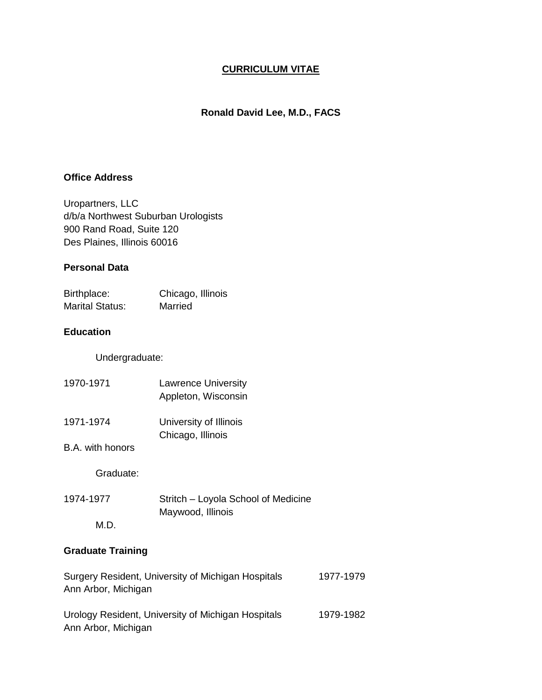## **CURRICULUM VITAE**

### **Ronald David Lee, M.D., FACS**

#### **Office Address**

Uropartners, LLC d/b/a Northwest Suburban Urologists 900 Rand Road, Suite 120 Des Plaines, Illinois 60016

#### **Personal Data**

| Birthplace:            | Chicago, Illinois |
|------------------------|-------------------|
| <b>Marital Status:</b> | Married           |

### **Education**

Undergraduate:

| 1970-1971 | <b>Lawrence University</b><br>Appleton, Wisconsin |
|-----------|---------------------------------------------------|
| 1971-1974 | University of Illinois<br>Chicago, Illinois       |

B.A. with honors

Graduate:

1974-1977 Stritch – Loyola School of Medicine Maywood, Illinois M.D.

# **Graduate Training**

| Surgery Resident, University of Michigan Hospitals | 1977-1979 |
|----------------------------------------------------|-----------|
| Ann Arbor, Michigan                                |           |
|                                                    |           |
| Urology Resident, University of Michigan Hospitals | 1979-1982 |
| Ann Arbor, Michigan                                |           |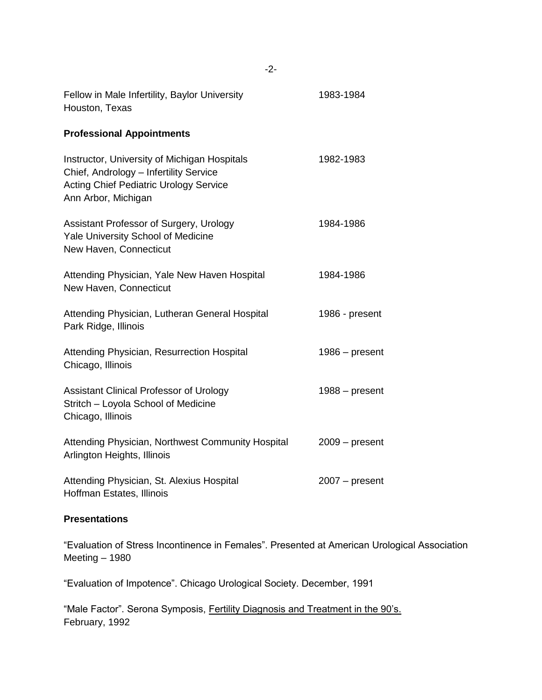| Fellow in Male Infertility, Baylor University<br>Houston, Texas                                                                                                | 1983-1984        |
|----------------------------------------------------------------------------------------------------------------------------------------------------------------|------------------|
| <b>Professional Appointments</b>                                                                                                                               |                  |
| Instructor, University of Michigan Hospitals<br>Chief, Andrology - Infertility Service<br><b>Acting Chief Pediatric Urology Service</b><br>Ann Arbor, Michigan | 1982-1983        |
| Assistant Professor of Surgery, Urology<br>Yale University School of Medicine<br>New Haven, Connecticut                                                        | 1984-1986        |
| Attending Physician, Yale New Haven Hospital<br>New Haven, Connecticut                                                                                         | 1984-1986        |
| Attending Physician, Lutheran General Hospital<br>Park Ridge, Illinois                                                                                         | 1986 - present   |
| Attending Physician, Resurrection Hospital<br>Chicago, Illinois                                                                                                | $1986 - present$ |
| <b>Assistant Clinical Professor of Urology</b><br>Stritch - Loyola School of Medicine<br>Chicago, Illinois                                                     | $1988 - present$ |
| Attending Physician, Northwest Community Hospital<br>Arlington Heights, Illinois                                                                               | $2009 - present$ |
| Attending Physician, St. Alexius Hospital<br>Hoffman Estates, Illinois                                                                                         | $2007 - present$ |

## **Presentations**

"Evaluation of Stress Incontinence in Females". Presented at American Urological Association Meeting – 1980

"Evaluation of Impotence". Chicago Urological Society. December, 1991

"Male Factor". Serona Symposis, Fertility Diagnosis and Treatment in the 90's. February, 1992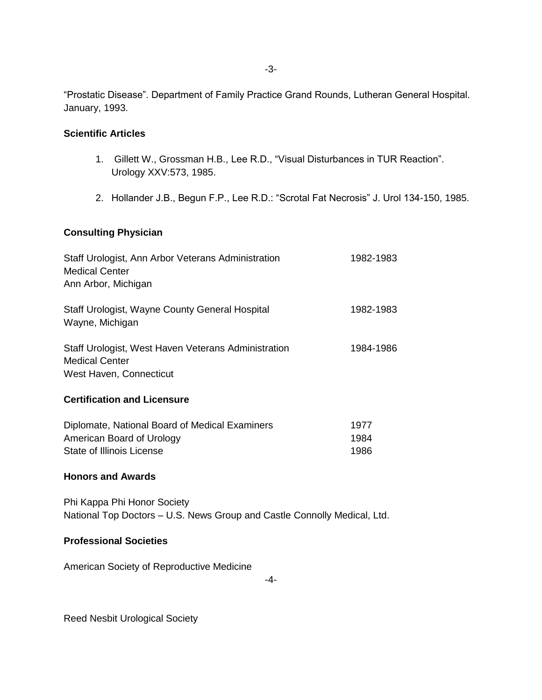"Prostatic Disease". Department of Family Practice Grand Rounds, Lutheran General Hospital. January, 1993.

#### **Scientific Articles**

- 1. Gillett W., Grossman H.B., Lee R.D., "Visual Disturbances in TUR Reaction". Urology XXV:573, 1985.
- 2. Hollander J.B., Begun F.P., Lee R.D.: "Scrotal Fat Necrosis" J. Urol 134-150, 1985.

## **Consulting Physician**

| Staff Urologist, Ann Arbor Veterans Administration<br><b>Medical Center</b><br>Ann Arbor, Michigan      | 1982-1983 |
|---------------------------------------------------------------------------------------------------------|-----------|
| Staff Urologist, Wayne County General Hospital<br>Wayne, Michigan                                       | 1982-1983 |
| Staff Urologist, West Haven Veterans Administration<br><b>Medical Center</b><br>West Haven, Connecticut | 1984-1986 |
| <b>Certification and Licensure</b>                                                                      |           |

| Diplomate, National Board of Medical Examiners | 1977 |
|------------------------------------------------|------|
| American Board of Urology                      | 1984 |
| State of Illinois License                      | 1986 |

#### **Honors and Awards**

Phi Kappa Phi Honor Society National Top Doctors – U.S. News Group and Castle Connolly Medical, Ltd.

#### **Professional Societies**

American Society of Reproductive Medicine

-4-

Reed Nesbit Urological Society